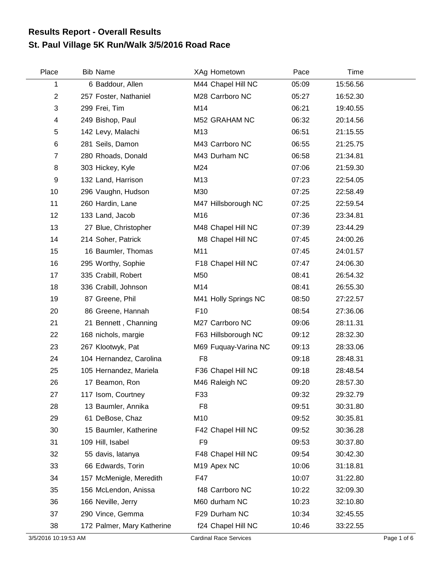## **St. Paul Village 5K Run/Walk 3/5/2016 Road Race Results Report - Overall Results**

| Place          | <b>Bib Name</b>            | XAg Hometown            | Pace  | Time     |  |
|----------------|----------------------------|-------------------------|-------|----------|--|
| 1              | 6 Baddour, Allen           | M44 Chapel Hill NC      | 05:09 | 15:56.56 |  |
| $\overline{c}$ | 257 Foster, Nathaniel      | M28 Carrboro NC         | 05:27 | 16:52.30 |  |
| 3              | 299 Frei, Tim              | M14                     | 06:21 | 19:40.55 |  |
| 4              | 249 Bishop, Paul           | M52 GRAHAM NC           | 06:32 | 20:14.56 |  |
| 5              | 142 Levy, Malachi          | M13                     | 06:51 | 21:15.55 |  |
| 6              | 281 Seils, Damon           | M43 Carrboro NC         | 06:55 | 21:25.75 |  |
| 7              | 280 Rhoads, Donald         | M43 Durham NC           | 06:58 | 21:34.81 |  |
| 8              | 303 Hickey, Kyle           | M24                     | 07:06 | 21:59.30 |  |
| 9              | 132 Land, Harrison         | M13                     | 07:23 | 22:54.05 |  |
| 10             | 296 Vaughn, Hudson         | M30                     | 07:25 | 22:58.49 |  |
| 11             | 260 Hardin, Lane           | M47 Hillsborough NC     | 07:25 | 22:59.54 |  |
| 12             | 133 Land, Jacob            | M16                     | 07:36 | 23:34.81 |  |
| 13             | 27 Blue, Christopher       | M48 Chapel Hill NC      | 07:39 | 23:44.29 |  |
| 14             | 214 Soher, Patrick         | M8 Chapel Hill NC       | 07:45 | 24:00.26 |  |
| 15             | 16 Baumler, Thomas         | M11                     | 07:45 | 24:01.57 |  |
| 16             | 295 Worthy, Sophie         | F18 Chapel Hill NC      | 07:47 | 24:06.30 |  |
| 17             | 335 Crabill, Robert        | M50                     | 08:41 | 26:54.32 |  |
| 18             | 336 Crabill, Johnson       | M14                     | 08:41 | 26:55.30 |  |
| 19             | 87 Greene, Phil            | M41 Holly Springs NC    | 08:50 | 27:22.57 |  |
| 20             | 86 Greene, Hannah          | F <sub>10</sub>         | 08:54 | 27:36.06 |  |
| 21             | 21 Bennett, Channing       | M27 Carrboro NC         | 09:06 | 28:11.31 |  |
| 22             | 168 nichols, margie        | F63 Hillsborough NC     | 09:12 | 28:32.30 |  |
| 23             | 267 Klootwyk, Pat          | M69 Fuquay-Varina NC    | 09:13 | 28:33.06 |  |
| 24             | 104 Hernandez, Carolina    | F <sub>8</sub>          | 09:18 | 28:48.31 |  |
| 25             | 105 Hernandez, Mariela     | F36 Chapel Hill NC      | 09:18 | 28:48.54 |  |
| 26             | 17 Beamon, Ron             | M46 Raleigh NC          | 09:20 | 28:57.30 |  |
| 27             | 117 Isom, Courtney         | F33                     | 09:32 | 29:32.79 |  |
| 28             | 13 Baumler, Annika         | F <sub>8</sub>          | 09:51 | 30:31.80 |  |
| 29             | 61 DeBose, Chaz            | M10                     | 09:52 | 30:35.81 |  |
| 30             | 15 Baumler, Katherine      | F42 Chapel Hill NC      | 09:52 | 30:36.28 |  |
| 31             | 109 Hill, Isabel           | F <sub>9</sub>          | 09:53 | 30:37.80 |  |
| 32             | 55 davis, latanya          | F48 Chapel Hill NC      | 09:54 | 30:42.30 |  |
| 33             | 66 Edwards, Torin          | M <sub>19</sub> Apex NC | 10:06 | 31:18.81 |  |
| 34             | 157 McMenigle, Meredith    | F47                     | 10:07 | 31:22.80 |  |
| 35             | 156 McLendon, Anissa       | f48 Carrboro NC         | 10:22 | 32:09.30 |  |
| 36             | 166 Neville, Jerry         | M60 durham NC           | 10:23 | 32:10.80 |  |
| 37             | 290 Vince, Gemma           | F29 Durham NC           | 10:34 | 32:45.55 |  |
| 38             | 172 Palmer, Mary Katherine | f24 Chapel Hill NC      | 10:46 | 33:22.55 |  |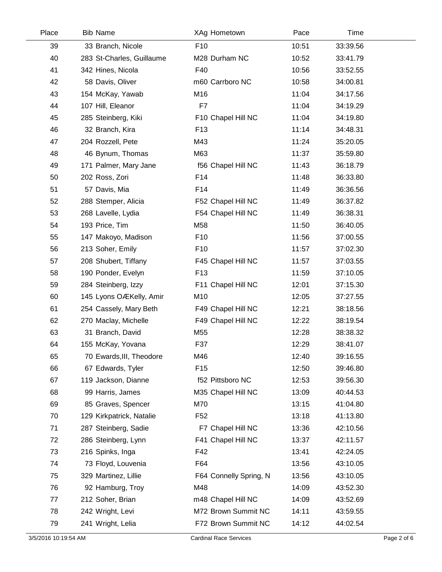| Place | <b>Bib Name</b>           | XAg Hometown           | Pace  | Time     |  |
|-------|---------------------------|------------------------|-------|----------|--|
| 39    | 33 Branch, Nicole         | F <sub>10</sub>        | 10:51 | 33:39.56 |  |
| 40    | 283 St-Charles, Guillaume | M28 Durham NC          | 10:52 | 33:41.79 |  |
| 41    | 342 Hines, Nicola         | F40                    | 10:56 | 33:52.55 |  |
| 42    | 58 Davis, Oliver          | m60 Carrboro NC        | 10:58 | 34:00.81 |  |
| 43    | 154 McKay, Yawab          | M16                    | 11:04 | 34:17.56 |  |
| 44    | 107 Hill, Eleanor         | F7                     | 11:04 | 34:19.29 |  |
| 45    | 285 Steinberg, Kiki       | F10 Chapel Hill NC     | 11:04 | 34:19.80 |  |
| 46    | 32 Branch, Kira           | F <sub>13</sub>        | 11:14 | 34:48.31 |  |
| 47    | 204 Rozzell, Pete         | M43                    | 11:24 | 35:20.05 |  |
| 48    | 46 Bynum, Thomas          | M63                    | 11:37 | 35:59.80 |  |
| 49    | 171 Palmer, Mary Jane     | f56 Chapel Hill NC     | 11:43 | 36:18.79 |  |
| 50    | 202 Ross, Zori            | F14                    | 11:48 | 36:33.80 |  |
| 51    | 57 Davis, Mia             | F14                    | 11:49 | 36:36.56 |  |
| 52    | 288 Stemper, Alicia       | F52 Chapel Hill NC     | 11:49 | 36:37.82 |  |
| 53    | 268 Lavelle, Lydia        | F54 Chapel Hill NC     | 11:49 | 36:38.31 |  |
| 54    | 193 Price, Tim            | M58                    | 11:50 | 36:40.05 |  |
| 55    | 147 Makoyo, Madison       | F <sub>10</sub>        | 11:56 | 37:00.55 |  |
| 56    | 213 Soher, Emily          | F <sub>10</sub>        | 11:57 | 37:02.30 |  |
| 57    | 208 Shubert, Tiffany      | F45 Chapel Hill NC     | 11:57 | 37:03.55 |  |
| 58    | 190 Ponder, Evelyn        | F <sub>13</sub>        | 11:59 | 37:10.05 |  |
| 59    | 284 Steinberg, Izzy       | F11 Chapel Hill NC     | 12:01 | 37:15.30 |  |
| 60    | 145 Lyons OÆKelly, Amir   | M10                    | 12:05 | 37:27.55 |  |
| 61    | 254 Cassely, Mary Beth    | F49 Chapel Hill NC     | 12:21 | 38:18.56 |  |
| 62    | 270 Maclay, Michelle      | F49 Chapel Hill NC     | 12:22 | 38:19.54 |  |
| 63    | 31 Branch, David          | M55                    | 12:28 | 38:38.32 |  |
| 64    | 155 McKay, Yovana         | F37                    | 12:29 | 38:41.07 |  |
| 65    | 70 Ewards, III, Theodore  | M46                    | 12:40 | 39:16.55 |  |
| 66    | 67 Edwards, Tyler         | F <sub>15</sub>        | 12:50 | 39:46.80 |  |
| 67    | 119 Jackson, Dianne       | f52 Pittsboro NC       | 12:53 | 39:56.30 |  |
| 68    | 99 Harris, James          | M35 Chapel Hill NC     | 13:09 | 40:44.53 |  |
| 69    | 85 Graves, Spencer        | M70                    | 13:15 | 41:04.80 |  |
| 70    | 129 Kirkpatrick, Natalie  | F <sub>52</sub>        | 13:18 | 41:13.80 |  |
| 71    | 287 Steinberg, Sadie      | F7 Chapel Hill NC      | 13:36 | 42:10.56 |  |
| 72    | 286 Steinberg, Lynn       | F41 Chapel Hill NC     | 13:37 | 42:11.57 |  |
| 73    | 216 Spinks, Inga          | F42                    | 13:41 | 42:24.05 |  |
| 74    | 73 Floyd, Louvenia        | F64                    | 13:56 | 43:10.05 |  |
| 75    | 329 Martinez, Lillie      | F64 Connelly Spring, N | 13:56 | 43:10.05 |  |
| 76    | 92 Hamburg, Troy          | M48                    | 14:09 | 43:52.30 |  |
| 77    | 212 Soher, Brian          | m48 Chapel Hill NC     | 14:09 | 43:52.69 |  |
| 78    | 242 Wright, Levi          | M72 Brown Summit NC    | 14:11 | 43:59.55 |  |
| 79    | 241 Wright, Lelia         | F72 Brown Summit NC    | 14:12 | 44:02.54 |  |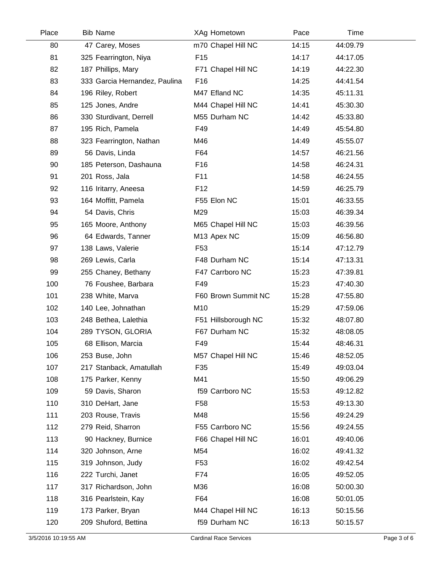| Place | <b>Bib Name</b>               | XAg Hometown        | Pace  | Time     |  |
|-------|-------------------------------|---------------------|-------|----------|--|
| 80    | 47 Carey, Moses               | m70 Chapel Hill NC  | 14:15 | 44:09.79 |  |
| 81    | 325 Fearrington, Niya         | F <sub>15</sub>     | 14:17 | 44:17.05 |  |
| 82    | 187 Phillips, Mary            | F71 Chapel Hill NC  | 14:19 | 44:22.30 |  |
| 83    | 333 Garcia Hernandez, Paulina | F16                 | 14:25 | 44:41.54 |  |
| 84    | 196 Riley, Robert             | M47 Efland NC       | 14:35 | 45:11.31 |  |
| 85    | 125 Jones, Andre              | M44 Chapel Hill NC  | 14:41 | 45:30.30 |  |
| 86    | 330 Sturdivant, Derrell       | M55 Durham NC       | 14:42 | 45:33.80 |  |
| 87    | 195 Rich, Pamela              | F49                 | 14:49 | 45:54.80 |  |
| 88    | 323 Fearrington, Nathan       | M46                 | 14:49 | 45:55.07 |  |
| 89    | 56 Davis, Linda               | F64                 | 14:57 | 46:21.56 |  |
| 90    | 185 Peterson, Dashauna        | F <sub>16</sub>     | 14:58 | 46:24.31 |  |
| 91    | 201 Ross, Jala                | F11                 | 14:58 | 46:24.55 |  |
| 92    | 116 Iritarry, Aneesa          | F <sub>12</sub>     | 14:59 | 46:25.79 |  |
| 93    | 164 Moffitt, Pamela           | F55 Elon NC         | 15:01 | 46:33.55 |  |
| 94    | 54 Davis, Chris               | M29                 | 15:03 | 46:39.34 |  |
| 95    | 165 Moore, Anthony            | M65 Chapel Hill NC  | 15:03 | 46:39.56 |  |
| 96    | 64 Edwards, Tanner            | M13 Apex NC         | 15:09 | 46:56.80 |  |
| 97    | 138 Laws, Valerie             | F <sub>53</sub>     | 15:14 | 47:12.79 |  |
| 98    | 269 Lewis, Carla              | F48 Durham NC       | 15:14 | 47:13.31 |  |
| 99    | 255 Chaney, Bethany           | F47 Carrboro NC     | 15:23 | 47:39.81 |  |
| 100   | 76 Foushee, Barbara           | F49                 | 15:23 | 47:40.30 |  |
| 101   | 238 White, Marva              | F60 Brown Summit NC | 15:28 | 47:55.80 |  |
| 102   | 140 Lee, Johnathan            | M10                 | 15:29 | 47:59.06 |  |
| 103   | 248 Bethea, Lalethia          | F51 Hillsborough NC | 15:32 | 48:07.80 |  |
| 104   | 289 TYSON, GLORIA             | F67 Durham NC       | 15:32 | 48:08.05 |  |
| 105   | 68 Ellison, Marcia            | F49                 | 15:44 | 48:46.31 |  |
| 106   | 253 Buse, John                | M57 Chapel Hill NC  | 15:46 | 48:52.05 |  |
| 107   | 217 Stanback, Amatullah       | F35                 | 15:49 | 49:03.04 |  |
| 108   | 175 Parker, Kenny             | M41                 | 15:50 | 49:06.29 |  |
| 109   | 59 Davis, Sharon              | f59 Carrboro NC     | 15:53 | 49:12.82 |  |
| 110   | 310 DeHart, Jane              | F <sub>58</sub>     | 15:53 | 49:13.30 |  |
| 111   | 203 Rouse, Travis             | M48                 | 15:56 | 49:24.29 |  |
| 112   | 279 Reid, Sharron             | F55 Carrboro NC     | 15:56 | 49:24.55 |  |
| 113   | 90 Hackney, Burnice           | F66 Chapel Hill NC  | 16:01 | 49:40.06 |  |
| 114   | 320 Johnson, Arne             | M54                 | 16:02 | 49:41.32 |  |
| 115   | 319 Johnson, Judy             | F <sub>53</sub>     | 16:02 | 49:42.54 |  |
| 116   | 222 Turchi, Janet             | F74                 | 16:05 | 49:52.05 |  |
| 117   | 317 Richardson, John          | M36                 | 16:08 | 50:00.30 |  |
| 118   | 316 Pearlstein, Kay           | F64                 | 16:08 | 50:01.05 |  |
| 119   | 173 Parker, Bryan             | M44 Chapel Hill NC  | 16:13 | 50:15.56 |  |
| 120   | 209 Shuford, Bettina          | f59 Durham NC       | 16:13 | 50:15.57 |  |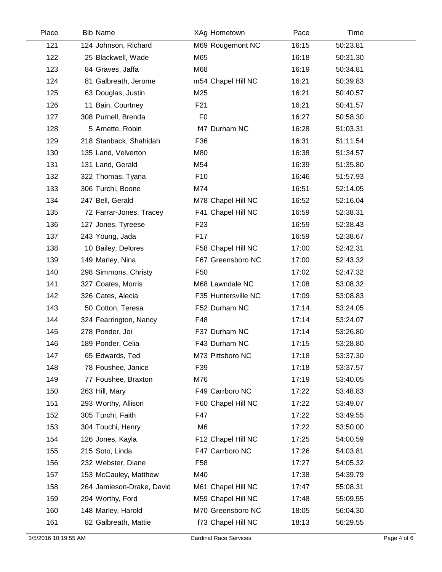| Place | <b>Bib Name</b>           | XAg Hometown        | Pace  | Time     |  |
|-------|---------------------------|---------------------|-------|----------|--|
| 121   | 124 Johnson, Richard      | M69 Rougemont NC    | 16:15 | 50:23.81 |  |
| 122   | 25 Blackwell, Wade        | M65                 | 16:18 | 50:31.30 |  |
| 123   | 84 Graves, Jaffa          | M68                 | 16:19 | 50:34.81 |  |
| 124   | 81 Galbreath, Jerome      | m54 Chapel Hill NC  | 16:21 | 50:39.83 |  |
| 125   | 63 Douglas, Justin        | M25                 | 16:21 | 50:40.57 |  |
| 126   | 11 Bain, Courtney         | F <sub>21</sub>     | 16:21 | 50:41.57 |  |
| 127   | 308 Purnell, Brenda       | F <sub>0</sub>      | 16:27 | 50:58.30 |  |
| 128   | 5 Arnette, Robin          | f47 Durham NC       | 16:28 | 51:03.31 |  |
| 129   | 218 Stanback, Shahidah    | F36                 | 16:31 | 51:11.54 |  |
| 130   | 135 Land, Velverton       | M80                 | 16:38 | 51:34.57 |  |
| 131   | 131 Land, Gerald          | M54                 | 16:39 | 51:35.80 |  |
| 132   | 322 Thomas, Tyana         | F <sub>10</sub>     | 16:46 | 51:57.93 |  |
| 133   | 306 Turchi, Boone         | M74                 | 16:51 | 52:14.05 |  |
| 134   | 247 Bell, Gerald          | M78 Chapel Hill NC  | 16:52 | 52:16.04 |  |
| 135   | 72 Farrar-Jones, Tracey   | F41 Chapel Hill NC  | 16:59 | 52:38.31 |  |
| 136   | 127 Jones, Tyreese        | F <sub>23</sub>     | 16:59 | 52:38.43 |  |
| 137   | 243 Young, Jada           | F <sub>17</sub>     | 16:59 | 52:38.67 |  |
| 138   | 10 Bailey, Delores        | F58 Chapel Hill NC  | 17:00 | 52:42.31 |  |
| 139   | 149 Marley, Nina          | F67 Greensboro NC   | 17:00 | 52:43.32 |  |
| 140   | 298 Simmons, Christy      | F <sub>50</sub>     | 17:02 | 52:47.32 |  |
| 141   | 327 Coates, Morris        | M68 Lawndale NC     | 17:08 | 53:08.32 |  |
| 142   | 326 Cates, Alecia         | F35 Huntersville NC | 17:09 | 53:08.83 |  |
| 143   | 50 Cotton, Teresa         | F52 Durham NC       | 17:14 | 53:24.05 |  |
| 144   | 324 Fearrington, Nancy    | F48                 | 17:14 | 53:24.07 |  |
| 145   | 278 Ponder, Joi           | F37 Durham NC       | 17:14 | 53:26.80 |  |
| 146   | 189 Ponder, Celia         | F43 Durham NC       | 17:15 | 53:28.80 |  |
| 147   | 65 Edwards, Ted           | M73 Pittsboro NC    | 17:18 | 53:37.30 |  |
| 148   | 78 Foushee, Janice        | F39                 | 17:18 | 53:37.57 |  |
| 149   | 77 Foushee, Braxton       | M76                 | 17:19 | 53:40.05 |  |
| 150   | 263 Hill, Mary            | F49 Carrboro NC     | 17:22 | 53:48.83 |  |
| 151   | 293 Worthy, Allison       | F60 Chapel Hill NC  | 17:22 | 53:49.07 |  |
| 152   | 305 Turchi, Faith         | F47                 | 17:22 | 53:49.55 |  |
| 153   | 304 Touchi, Henry         | M <sub>6</sub>      | 17:22 | 53:50.00 |  |
| 154   | 126 Jones, Kayla          | F12 Chapel Hill NC  | 17:25 | 54:00.59 |  |
| 155   | 215 Soto, Linda           | F47 Carrboro NC     | 17:26 | 54:03.81 |  |
| 156   | 232 Webster, Diane        | F <sub>58</sub>     | 17:27 | 54:05.32 |  |
| 157   | 153 McCauley, Matthew     | M40                 | 17:38 | 54:39.79 |  |
| 158   | 264 Jamieson-Drake, David | M61 Chapel Hill NC  | 17:47 | 55:08.31 |  |
| 159   | 294 Worthy, Ford          | M59 Chapel Hill NC  | 17:48 | 55:09.55 |  |
| 160   | 148 Marley, Harold        | M70 Greensboro NC   | 18:05 | 56:04.30 |  |
| 161   | 82 Galbreath, Mattie      | f73 Chapel Hill NC  | 18:13 | 56:29.55 |  |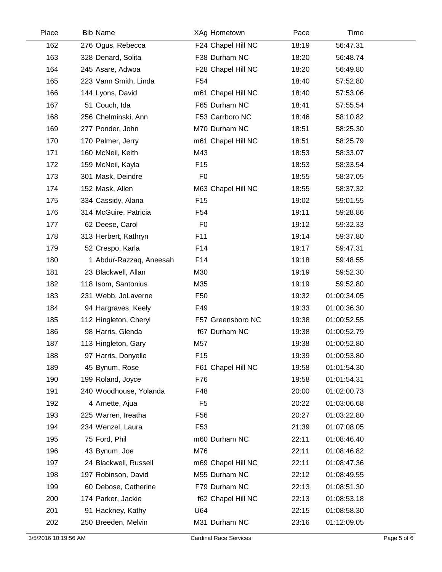| Place | <b>Bib Name</b>         | XAg Hometown       | Pace  | Time        |  |
|-------|-------------------------|--------------------|-------|-------------|--|
| 162   | 276 Ogus, Rebecca       | F24 Chapel Hill NC | 18:19 | 56:47.31    |  |
| 163   | 328 Denard, Solita      | F38 Durham NC      | 18:20 | 56:48.74    |  |
| 164   | 245 Asare, Adwoa        | F28 Chapel Hill NC | 18:20 | 56:49.80    |  |
| 165   | 223 Vann Smith, Linda   | F <sub>54</sub>    | 18:40 | 57:52.80    |  |
| 166   | 144 Lyons, David        | m61 Chapel Hill NC | 18:40 | 57:53.06    |  |
| 167   | 51 Couch, Ida           | F65 Durham NC      | 18:41 | 57:55.54    |  |
| 168   | 256 Chelminski, Ann     | F53 Carrboro NC    | 18:46 | 58:10.82    |  |
| 169   | 277 Ponder, John        | M70 Durham NC      | 18:51 | 58:25.30    |  |
| 170   | 170 Palmer, Jerry       | m61 Chapel Hill NC | 18:51 | 58:25.79    |  |
| 171   | 160 McNeil, Keith       | M43                | 18:53 | 58:33.07    |  |
| 172   | 159 McNeil, Kayla       | F <sub>15</sub>    | 18:53 | 58:33.54    |  |
| 173   | 301 Mask, Deindre       | F <sub>0</sub>     | 18:55 | 58:37.05    |  |
| 174   | 152 Mask, Allen         | M63 Chapel Hill NC | 18:55 | 58:37.32    |  |
| 175   | 334 Cassidy, Alana      | F <sub>15</sub>    | 19:02 | 59:01.55    |  |
| 176   | 314 McGuire, Patricia   | F <sub>54</sub>    | 19:11 | 59:28.86    |  |
| 177   | 62 Deese, Carol         | F <sub>0</sub>     | 19:12 | 59:32.33    |  |
| 178   | 313 Herbert, Kathryn    | F11                | 19:14 | 59:37.80    |  |
| 179   | 52 Crespo, Karla        | F14                | 19:17 | 59:47.31    |  |
| 180   | 1 Abdur-Razzaq, Aneesah | F14                | 19:18 | 59:48.55    |  |
| 181   | 23 Blackwell, Allan     | M30                | 19:19 | 59:52.30    |  |
| 182   | 118 Isom, Santonius     | M35                | 19:19 | 59:52.80    |  |
| 183   | 231 Webb, JoLaverne     | F50                | 19:32 | 01:00:34.05 |  |
| 184   | 94 Hargraves, Keely     | F49                | 19:33 | 01:00:36.30 |  |
| 185   | 112 Hingleton, Cheryl   | F57 Greensboro NC  | 19:38 | 01:00:52.55 |  |
| 186   | 98 Harris, Glenda       | f67 Durham NC      | 19:38 | 01:00:52.79 |  |
| 187   | 113 Hingleton, Gary     | M57                | 19:38 | 01:00:52.80 |  |
| 188   | 97 Harris, Donyelle     | F <sub>15</sub>    | 19:39 | 01:00:53.80 |  |
| 189   | 45 Bynum, Rose          | F61 Chapel Hill NC | 19:58 | 01:01:54.30 |  |
| 190   | 199 Roland, Joyce       | F76                | 19:58 | 01:01:54.31 |  |
| 191   | 240 Woodhouse, Yolanda  | F48                | 20:00 | 01:02:00.73 |  |
| 192   | 4 Arnette, Ajua         | F <sub>5</sub>     | 20:22 | 01:03:06.68 |  |
| 193   | 225 Warren, Ireatha     | F <sub>56</sub>    | 20:27 | 01:03:22.80 |  |
| 194   | 234 Wenzel, Laura       | F <sub>53</sub>    | 21:39 | 01:07:08.05 |  |
| 195   | 75 Ford, Phil           | m60 Durham NC      | 22:11 | 01:08:46.40 |  |
| 196   | 43 Bynum, Joe           | M76                | 22:11 | 01:08:46.82 |  |
| 197   | 24 Blackwell, Russell   | m69 Chapel Hill NC | 22:11 | 01:08:47.36 |  |
| 198   | 197 Robinson, David     | M55 Durham NC      | 22:12 | 01:08:49.55 |  |
| 199   | 60 Debose, Catherine    | F79 Durham NC      | 22:13 | 01:08:51.30 |  |
| 200   | 174 Parker, Jackie      | f62 Chapel Hill NC | 22:13 | 01:08:53.18 |  |
| 201   | 91 Hackney, Kathy       | U64                | 22:15 | 01:08:58.30 |  |
| 202   | 250 Breeden, Melvin     | M31 Durham NC      | 23:16 | 01:12:09.05 |  |